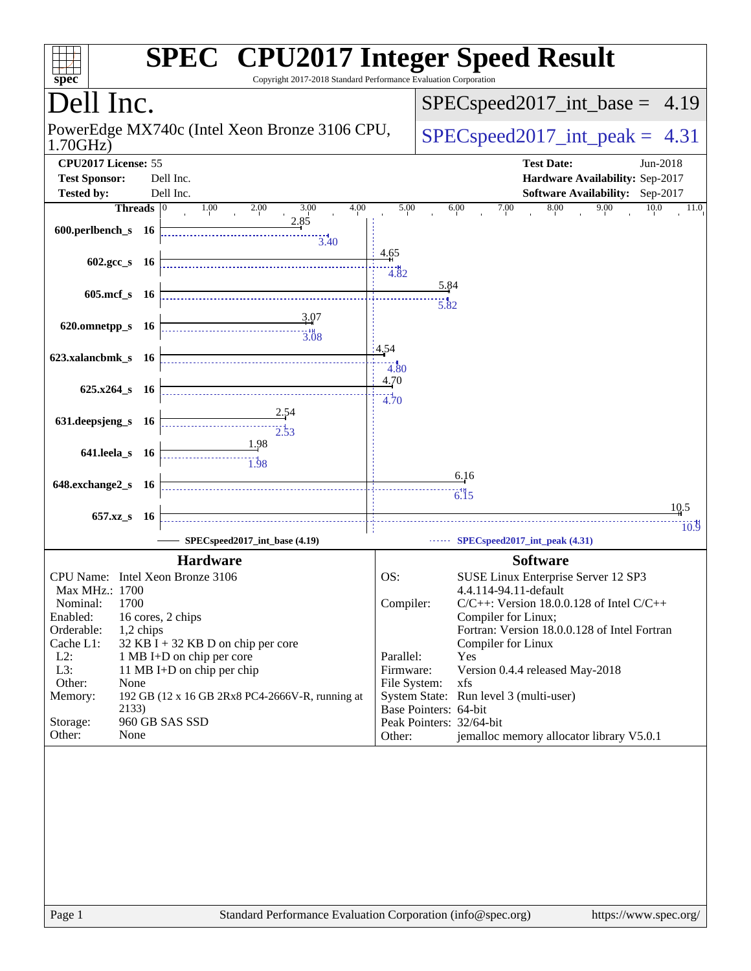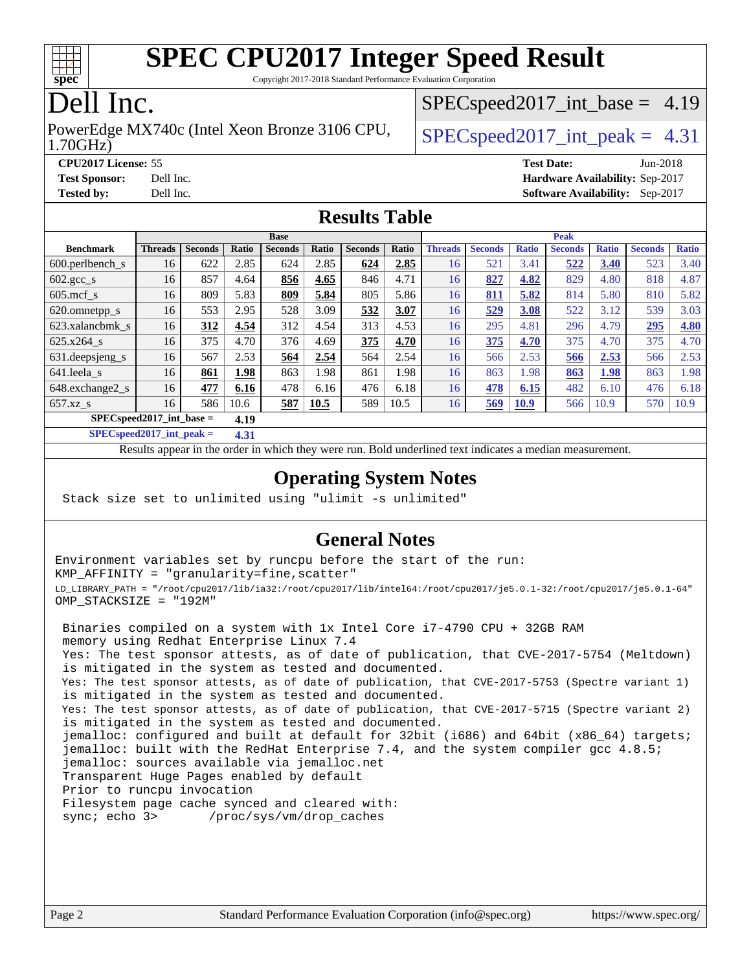

Copyright 2017-2018 Standard Performance Evaluation Corporation

### Dell Inc.

1.70GHz) PowerEdge MX740c (Intel Xeon Bronze 3106 CPU,  $\big|$  [SPECspeed2017\\_int\\_peak =](http://www.spec.org/auto/cpu2017/Docs/result-fields.html#SPECspeed2017intpeak) 4.31

 $SPECspeed2017\_int\_base = 4.19$ 

**[CPU2017 License:](http://www.spec.org/auto/cpu2017/Docs/result-fields.html#CPU2017License)** 55 **[Test Date:](http://www.spec.org/auto/cpu2017/Docs/result-fields.html#TestDate)** Jun-2018 **[Test Sponsor:](http://www.spec.org/auto/cpu2017/Docs/result-fields.html#TestSponsor)** Dell Inc. **[Hardware Availability:](http://www.spec.org/auto/cpu2017/Docs/result-fields.html#HardwareAvailability)** Sep-2017 **[Tested by:](http://www.spec.org/auto/cpu2017/Docs/result-fields.html#Testedby)** Dell Inc. **[Software Availability:](http://www.spec.org/auto/cpu2017/Docs/result-fields.html#SoftwareAvailability)** Sep-2017

#### **[Results Table](http://www.spec.org/auto/cpu2017/Docs/result-fields.html#ResultsTable)**

|                                     | <b>Base</b>    |                |       |                |       |                | <b>Peak</b> |                |                |              |                |              |                |              |
|-------------------------------------|----------------|----------------|-------|----------------|-------|----------------|-------------|----------------|----------------|--------------|----------------|--------------|----------------|--------------|
| <b>Benchmark</b>                    | <b>Threads</b> | <b>Seconds</b> | Ratio | <b>Seconds</b> | Ratio | <b>Seconds</b> | Ratio       | <b>Threads</b> | <b>Seconds</b> | <b>Ratio</b> | <b>Seconds</b> | <b>Ratio</b> | <b>Seconds</b> | <b>Ratio</b> |
| $600.$ perlbench $\mathsf{S}$       | 16             | 622            | 2.85  | 624            | 2.85  | 624            | 2.85        | 16             | 521            | 3.41         | 522            | 3.40         | 523            | 3.40         |
| $602.\text{gcc}\_\text{s}$          | 16             | 857            | 4.64  | 856            | 4.65  | 846            | 4.71        | 16             | 827            | 4.82         | 829            | 4.80         | 818            | 4.87         |
| $605$ .mcf s                        | 16             | 809            | 5.83  | 809            | 5.84  | 805            | 5.86        | 16             | 811            | 5.82         | 814            | 5.80         | 810            | 5.82         |
| 620.omnetpp_s                       | 16             | 553            | 2.95  | 528            | 3.09  | 532            | 3.07        | 16             | 529            | 3.08         | 522            | 3.12         | 539            | 3.03         |
| 623.xalancbmk s                     | 16             | 312            | 4.54  | 312            | 4.54  | 313            | 4.53        | 16             | 295            | 4.81         | 296            | 4.79         | 295            | 4.80         |
| 625.x264 s                          | 16             | 375            | 4.70  | 376            | 4.69  | 375            | 4.70        | 16             | 375            | 4.70         | 375            | 4.70         | 375            | 4.70         |
| 631.deepsjeng_s                     | 16             | 567            | 2.53  | 564            | 2.54  | 564            | 2.54        | 16             | 566            | 2.53         | 566            | 2.53         | 566            | 2.53         |
| 641.leela s                         | 16             | 861            | 1.98  | 863            | 1.98  | 861            | 1.98        | 16             | 863            | 1.98         | 863            | 1.98         | 863            | 1.98         |
| 648.exchange2_s                     | 16             | 477            | 6.16  | 478            | 6.16  | 476            | 6.18        | 16             | 478            | 6.15         | 482            | 6.10         | 476            | 6.18         |
| $657.xz$ s                          | 16             | 586            | 10.6  | 587            | 10.5  | 589            | 10.5        | 16             | 569            | <b>10.9</b>  | 566            | 10.9         | 570            | 10.9         |
| $SPEC speed2017$ int base =<br>4.19 |                |                |       |                |       |                |             |                |                |              |                |              |                |              |

**[SPECspeed2017\\_int\\_peak =](http://www.spec.org/auto/cpu2017/Docs/result-fields.html#SPECspeed2017intpeak) 4.31**

Results appear in the [order in which they were run.](http://www.spec.org/auto/cpu2017/Docs/result-fields.html#RunOrder) Bold underlined text [indicates a median measurement](http://www.spec.org/auto/cpu2017/Docs/result-fields.html#Median).

#### **[Operating System Notes](http://www.spec.org/auto/cpu2017/Docs/result-fields.html#OperatingSystemNotes)**

Stack size set to unlimited using "ulimit -s unlimited"

#### **[General Notes](http://www.spec.org/auto/cpu2017/Docs/result-fields.html#GeneralNotes)**

Environment variables set by runcpu before the start of the run: KMP\_AFFINITY = "granularity=fine,scatter" LD\_LIBRARY\_PATH = "/root/cpu2017/lib/ia32:/root/cpu2017/lib/intel64:/root/cpu2017/je5.0.1-32:/root/cpu2017/je5.0.1-64" OMP\_STACKSIZE = "192M"

 Binaries compiled on a system with 1x Intel Core i7-4790 CPU + 32GB RAM memory using Redhat Enterprise Linux 7.4 Yes: The test sponsor attests, as of date of publication, that CVE-2017-5754 (Meltdown) is mitigated in the system as tested and documented. Yes: The test sponsor attests, as of date of publication, that CVE-2017-5753 (Spectre variant 1) is mitigated in the system as tested and documented. Yes: The test sponsor attests, as of date of publication, that CVE-2017-5715 (Spectre variant 2) is mitigated in the system as tested and documented. jemalloc: configured and built at default for 32bit (i686) and 64bit (x86\_64) targets; jemalloc: built with the RedHat Enterprise 7.4, and the system compiler gcc 4.8.5; jemalloc: sources available via jemalloc.net Transparent Huge Pages enabled by default Prior to runcpu invocation Filesystem page cache synced and cleared with: sync; echo 3> /proc/sys/vm/drop\_caches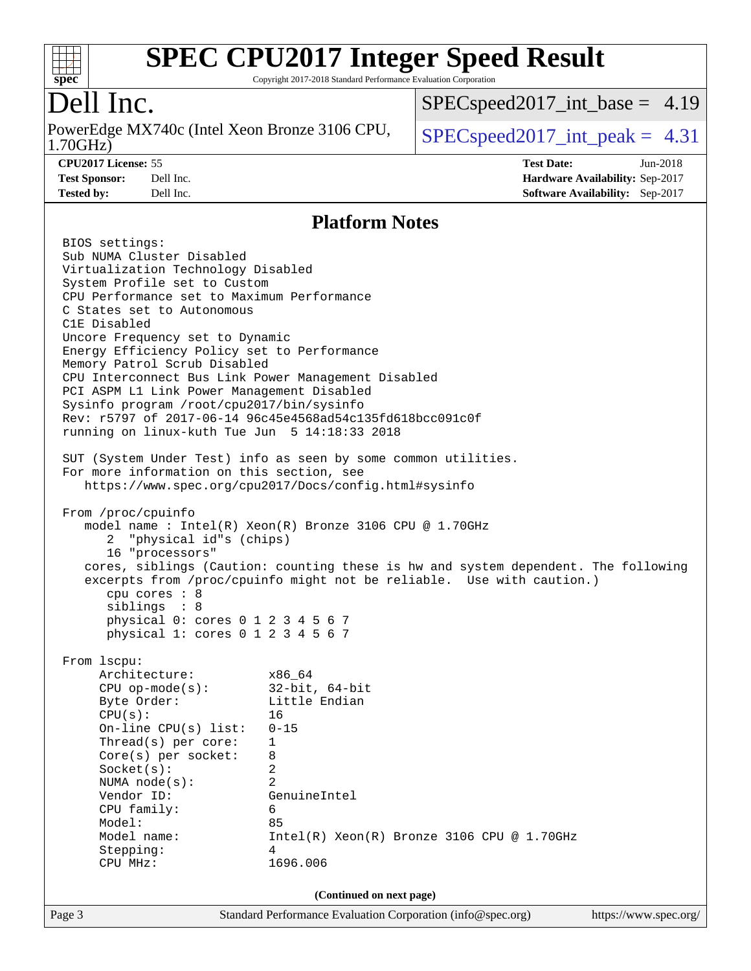

Copyright 2017-2018 Standard Performance Evaluation Corporation

Dell Inc.<br>PowerEdge MX740c (Intel Xeon Bronze 3106 CPU, 1.70GHz)

[SPECspeed2017\\_int\\_base =](http://www.spec.org/auto/cpu2017/Docs/result-fields.html#SPECspeed2017intbase) 4.19

**[Test Sponsor:](http://www.spec.org/auto/cpu2017/Docs/result-fields.html#TestSponsor)** Dell Inc. **[Hardware Availability:](http://www.spec.org/auto/cpu2017/Docs/result-fields.html#HardwareAvailability)** Sep-2017 **[Tested by:](http://www.spec.org/auto/cpu2017/Docs/result-fields.html#Testedby)** Dell Inc. **[Software Availability:](http://www.spec.org/auto/cpu2017/Docs/result-fields.html#SoftwareAvailability)** Sep-2017

 $SPEC speed2017\_int\_peak = 4.31$ **[CPU2017 License:](http://www.spec.org/auto/cpu2017/Docs/result-fields.html#CPU2017License)** 55 **[Test Date:](http://www.spec.org/auto/cpu2017/Docs/result-fields.html#TestDate)** Jun-2018

**[Platform Notes](http://www.spec.org/auto/cpu2017/Docs/result-fields.html#PlatformNotes)**

|                                                     | T RAMANI TAARS                                                                     |                       |  |  |  |  |  |
|-----------------------------------------------------|------------------------------------------------------------------------------------|-----------------------|--|--|--|--|--|
| BIOS settings:                                      |                                                                                    |                       |  |  |  |  |  |
| Sub NUMA Cluster Disabled                           |                                                                                    |                       |  |  |  |  |  |
| Virtualization Technology Disabled                  |                                                                                    |                       |  |  |  |  |  |
| System Profile set to Custom                        |                                                                                    |                       |  |  |  |  |  |
| CPU Performance set to Maximum Performance          |                                                                                    |                       |  |  |  |  |  |
| C States set to Autonomous                          |                                                                                    |                       |  |  |  |  |  |
| C1E Disabled                                        |                                                                                    |                       |  |  |  |  |  |
| Uncore Frequency set to Dynamic                     |                                                                                    |                       |  |  |  |  |  |
| Energy Efficiency Policy set to Performance         |                                                                                    |                       |  |  |  |  |  |
| Memory Patrol Scrub Disabled                        |                                                                                    |                       |  |  |  |  |  |
| CPU Interconnect Bus Link Power Management Disabled |                                                                                    |                       |  |  |  |  |  |
| PCI ASPM L1 Link Power Management Disabled          |                                                                                    |                       |  |  |  |  |  |
| Sysinfo program /root/cpu2017/bin/sysinfo           |                                                                                    |                       |  |  |  |  |  |
|                                                     | Rev: r5797 of 2017-06-14 96c45e4568ad54c135fd618bcc091c0f                          |                       |  |  |  |  |  |
| running on linux-kuth Tue Jun 5 14:18:33 2018       |                                                                                    |                       |  |  |  |  |  |
|                                                     |                                                                                    |                       |  |  |  |  |  |
|                                                     | SUT (System Under Test) info as seen by some common utilities.                     |                       |  |  |  |  |  |
| For more information on this section, see           | https://www.spec.org/cpu2017/Docs/config.html#sysinfo                              |                       |  |  |  |  |  |
|                                                     |                                                                                    |                       |  |  |  |  |  |
| From /proc/cpuinfo                                  |                                                                                    |                       |  |  |  |  |  |
|                                                     | model name: Intel(R) Xeon(R) Bronze 3106 CPU @ 1.70GHz                             |                       |  |  |  |  |  |
| 2 "physical id"s (chips)                            |                                                                                    |                       |  |  |  |  |  |
| 16 "processors"                                     |                                                                                    |                       |  |  |  |  |  |
|                                                     | cores, siblings (Caution: counting these is hw and system dependent. The following |                       |  |  |  |  |  |
|                                                     | excerpts from /proc/cpuinfo might not be reliable. Use with caution.)              |                       |  |  |  |  |  |
| cpu cores : 8                                       |                                                                                    |                       |  |  |  |  |  |
| siblings : 8                                        |                                                                                    |                       |  |  |  |  |  |
| physical 0: cores 0 1 2 3 4 5 6 7                   |                                                                                    |                       |  |  |  |  |  |
| physical 1: cores 0 1 2 3 4 5 6 7                   |                                                                                    |                       |  |  |  |  |  |
|                                                     |                                                                                    |                       |  |  |  |  |  |
| From 1scpu:<br>Architecture:                        |                                                                                    |                       |  |  |  |  |  |
|                                                     | $x86\_64$                                                                          |                       |  |  |  |  |  |
| CPU op-mode(s): $32-bit, 64-bit$<br>Byte Order:     | Little Endian                                                                      |                       |  |  |  |  |  |
| CPU(s):                                             | 16                                                                                 |                       |  |  |  |  |  |
| On-line CPU(s) list: $0-15$                         |                                                                                    |                       |  |  |  |  |  |
| Thread(s) per core:                                 | $\mathbf{1}$                                                                       |                       |  |  |  |  |  |
| $Core(s)$ per socket:                               | 8                                                                                  |                       |  |  |  |  |  |
| Socket(s):                                          | $\overline{2}$                                                                     |                       |  |  |  |  |  |
| NUMA $node(s)$ :                                    | 2                                                                                  |                       |  |  |  |  |  |
| Vendor ID:                                          | GenuineIntel                                                                       |                       |  |  |  |  |  |
| CPU family:                                         | 6                                                                                  |                       |  |  |  |  |  |
| Model:                                              | 85                                                                                 |                       |  |  |  |  |  |
| Model name:                                         | Intel(R) Xeon(R) Bronze 3106 CPU @ 1.70GHz                                         |                       |  |  |  |  |  |
| Stepping:                                           | 4                                                                                  |                       |  |  |  |  |  |
| CPU MHz:                                            | 1696.006                                                                           |                       |  |  |  |  |  |
|                                                     |                                                                                    |                       |  |  |  |  |  |
|                                                     | (Continued on next page)                                                           |                       |  |  |  |  |  |
| Page 3                                              | Standard Performance Evaluation Corporation (info@spec.org)                        | https://www.spec.org/ |  |  |  |  |  |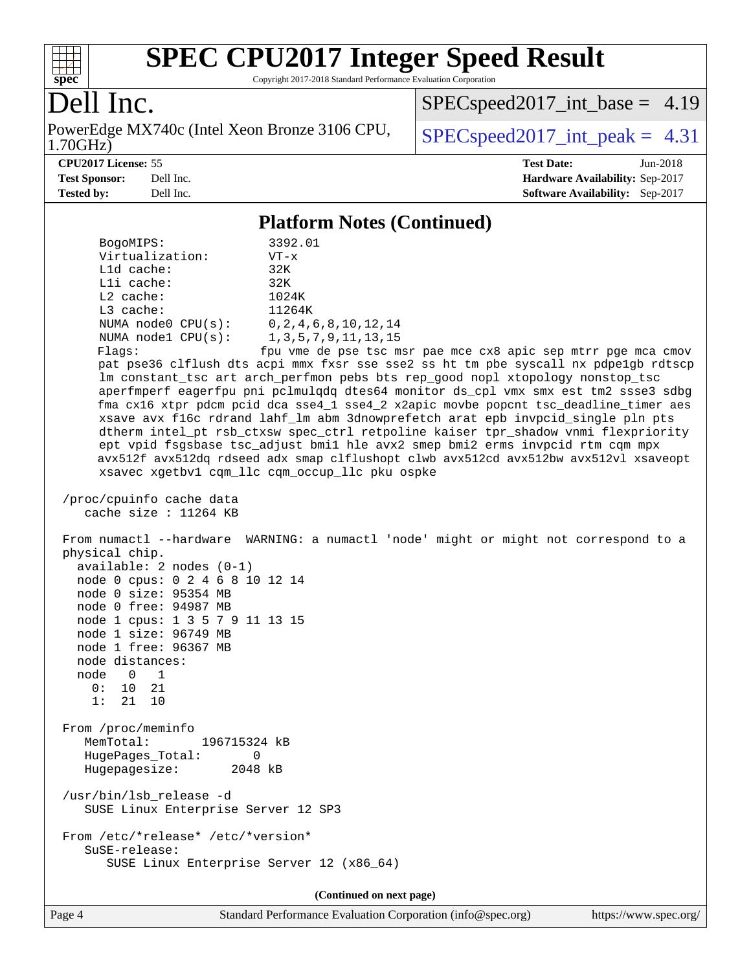

Copyright 2017-2018 Standard Performance Evaluation Corporation

### Dell Inc.

1.70GHz) PowerEdge MX740c (Intel Xeon Bronze 3106 CPU,  $SPEC speed2017\_int\_peak = 4.31$ 

[SPECspeed2017\\_int\\_base =](http://www.spec.org/auto/cpu2017/Docs/result-fields.html#SPECspeed2017intbase) 4.19

**[Tested by:](http://www.spec.org/auto/cpu2017/Docs/result-fields.html#Testedby)** Dell Inc. **[Software Availability:](http://www.spec.org/auto/cpu2017/Docs/result-fields.html#SoftwareAvailability)** Sep-2017

**[CPU2017 License:](http://www.spec.org/auto/cpu2017/Docs/result-fields.html#CPU2017License)** 55 **[Test Date:](http://www.spec.org/auto/cpu2017/Docs/result-fields.html#TestDate)** Jun-2018 **[Test Sponsor:](http://www.spec.org/auto/cpu2017/Docs/result-fields.html#TestSponsor)** Dell Inc. **[Hardware Availability:](http://www.spec.org/auto/cpu2017/Docs/result-fields.html#HardwareAvailability)** Sep-2017

#### **[Platform Notes \(Continued\)](http://www.spec.org/auto/cpu2017/Docs/result-fields.html#PlatformNotes)**

| BogoMIPS:<br>3392.01<br>Virtualization:<br>$VT - x$<br>L1d cache:<br>32K<br>Lli cache:<br>32K<br>1024K<br>$L2$ cache:<br>L3 cache:<br>11264K<br>0, 2, 4, 6, 8, 10, 12, 14<br>NUMA $node0$ $CPU(s):$<br>1, 3, 5, 7, 9, 11, 13, 15<br>NUMA nodel CPU(s):<br>Flags:<br>fpu vme de pse tsc msr pae mce cx8 apic sep mtrr pge mca cmov<br>pat pse36 clflush dts acpi mmx fxsr sse sse2 ss ht tm pbe syscall nx pdpelgb rdtscp<br>lm constant_tsc art arch_perfmon pebs bts rep_good nopl xtopology nonstop_tsc<br>aperfmperf eagerfpu pni pclmulqdq dtes64 monitor ds_cpl vmx smx est tm2 ssse3 sdbg<br>fma cx16 xtpr pdcm pcid dca sse4_1 sse4_2 x2apic movbe popcnt tsc_deadline_timer aes<br>xsave avx f16c rdrand lahf_lm abm 3dnowprefetch arat epb invpcid_single pln pts<br>dtherm intel_pt rsb_ctxsw spec_ctrl retpoline kaiser tpr_shadow vnmi flexpriority<br>ept vpid fsgsbase tsc_adjust bmil hle avx2 smep bmi2 erms invpcid rtm cqm mpx<br>avx512f avx512dq rdseed adx smap clflushopt clwb avx512cd avx512bw avx512vl xsaveopt<br>xsavec xgetbv1 cqm_llc cqm_occup_llc pku ospke |
|--------------------------------------------------------------------------------------------------------------------------------------------------------------------------------------------------------------------------------------------------------------------------------------------------------------------------------------------------------------------------------------------------------------------------------------------------------------------------------------------------------------------------------------------------------------------------------------------------------------------------------------------------------------------------------------------------------------------------------------------------------------------------------------------------------------------------------------------------------------------------------------------------------------------------------------------------------------------------------------------------------------------------------------------------------------------------------------------|
| /proc/cpuinfo cache data<br>cache size : $11264$ KB                                                                                                                                                                                                                                                                                                                                                                                                                                                                                                                                                                                                                                                                                                                                                                                                                                                                                                                                                                                                                                        |
| From numactl --hardware WARNING: a numactl 'node' might or might not correspond to a<br>physical chip.<br>$available: 2 nodes (0-1)$<br>node 0 cpus: 0 2 4 6 8 10 12 14<br>node 0 size: 95354 MB<br>node 0 free: 94987 MB<br>node 1 cpus: 1 3 5 7 9 11 13 15<br>node 1 size: 96749 MB<br>node 1 free: 96367 MB<br>node distances:<br>node 0<br>$\overline{\phantom{1}}$<br>0: 10 21<br>1:<br>21 10                                                                                                                                                                                                                                                                                                                                                                                                                                                                                                                                                                                                                                                                                         |
| From /proc/meminfo<br>MemTotal:<br>196715324 kB<br>HugePages_Total:<br>0<br>Hugepagesize:<br>2048 kB                                                                                                                                                                                                                                                                                                                                                                                                                                                                                                                                                                                                                                                                                                                                                                                                                                                                                                                                                                                       |
| /usr/bin/lsb_release -d<br>SUSE Linux Enterprise Server 12 SP3                                                                                                                                                                                                                                                                                                                                                                                                                                                                                                                                                                                                                                                                                                                                                                                                                                                                                                                                                                                                                             |
| From /etc/*release* /etc/*version*<br>SuSE-release:<br>SUSE Linux Enterprise Server 12 (x86_64)                                                                                                                                                                                                                                                                                                                                                                                                                                                                                                                                                                                                                                                                                                                                                                                                                                                                                                                                                                                            |

**(Continued on next page)**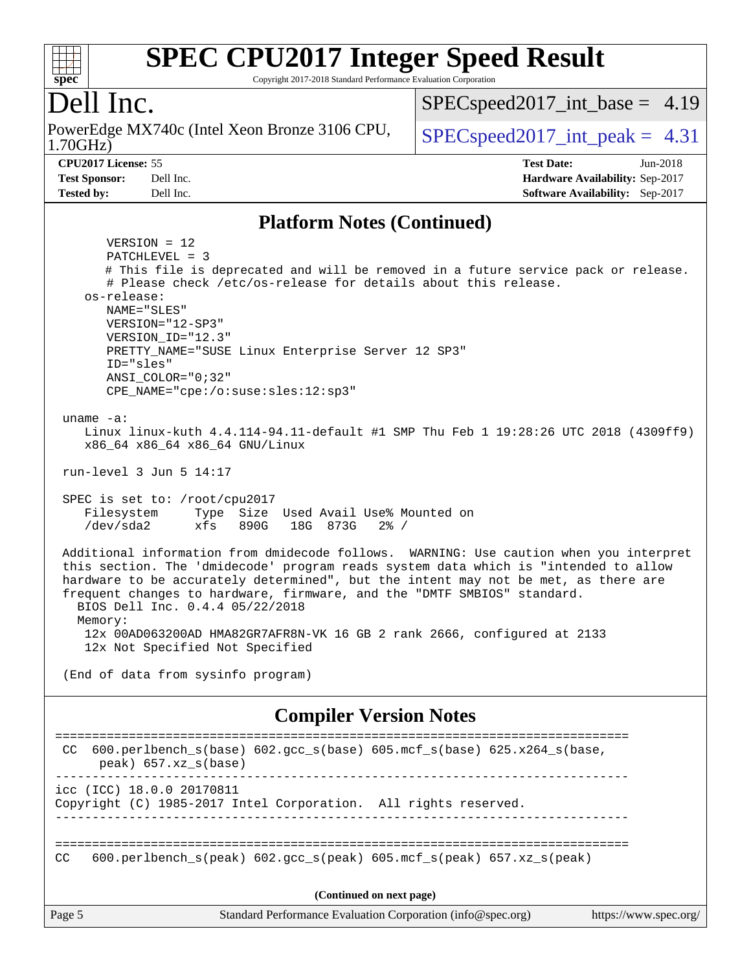#### $+\ +$ **[spec](http://www.spec.org/)**

# **[SPEC CPU2017 Integer Speed Result](http://www.spec.org/auto/cpu2017/Docs/result-fields.html#SPECCPU2017IntegerSpeedResult)**

Copyright 2017-2018 Standard Performance Evaluation Corporation

## Dell Inc.

1.70GHz) PowerEdge MX740c (Intel Xeon Bronze 3106 CPU,  $\big|$  [SPECspeed2017\\_int\\_peak =](http://www.spec.org/auto/cpu2017/Docs/result-fields.html#SPECspeed2017intpeak) 4.31

 $SPECspeed2017\_int\_base = 4.19$ 

**[CPU2017 License:](http://www.spec.org/auto/cpu2017/Docs/result-fields.html#CPU2017License)** 55 **[Test Date:](http://www.spec.org/auto/cpu2017/Docs/result-fields.html#TestDate)** Jun-2018 **[Test Sponsor:](http://www.spec.org/auto/cpu2017/Docs/result-fields.html#TestSponsor)** Dell Inc. **[Hardware Availability:](http://www.spec.org/auto/cpu2017/Docs/result-fields.html#HardwareAvailability)** Sep-2017 **[Tested by:](http://www.spec.org/auto/cpu2017/Docs/result-fields.html#Testedby)** Dell Inc. **[Software Availability:](http://www.spec.org/auto/cpu2017/Docs/result-fields.html#SoftwareAvailability)** Sep-2017

#### **[Platform Notes \(Continued\)](http://www.spec.org/auto/cpu2017/Docs/result-fields.html#PlatformNotes)**

 VERSION = 12 PATCHLEVEL = 3 # This file is deprecated and will be removed in a future service pack or release. # Please check /etc/os-release for details about this release. os-release: NAME="SLES" VERSION="12-SP3" VERSION\_ID="12.3" PRETTY\_NAME="SUSE Linux Enterprise Server 12 SP3" ID="sles" ANSI\_COLOR="0;32" CPE\_NAME="cpe:/o:suse:sles:12:sp3" uname -a: Linux linux-kuth 4.4.114-94.11-default #1 SMP Thu Feb 1 19:28:26 UTC 2018 (4309ff9) x86\_64 x86\_64 x86\_64 GNU/Linux run-level 3 Jun 5 14:17 SPEC is set to: /root/cpu2017 Filesystem Type Size Used Avail Use% Mounted on /dev/sda2 xfs 890G 18G 873G 2% / Additional information from dmidecode follows. WARNING: Use caution when you interpret this section. The 'dmidecode' program reads system data which is "intended to allow hardware to be accurately determined", but the intent may not be met, as there are frequent changes to hardware, firmware, and the "DMTF SMBIOS" standard. BIOS Dell Inc. 0.4.4 05/22/2018 Memory: 12x 00AD063200AD HMA82GR7AFR8N-VK 16 GB 2 rank 2666, configured at 2133 12x Not Specified Not Specified (End of data from sysinfo program) **[Compiler Version Notes](http://www.spec.org/auto/cpu2017/Docs/result-fields.html#CompilerVersionNotes)** ============================================================================== CC 600.perlbench\_s(base) 602.gcc\_s(base) 605.mcf\_s(base) 625.x264\_s(base, peak) 657.xz\_s(base) ----------------------------------------------------------------------------- icc (ICC) 18.0.0 20170811 Copyright (C) 1985-2017 Intel Corporation. All rights reserved. ------------------------------------------------------------------------------ ============================================================================== CC 600.perlbench s(peak) 602.gcc s(peak) 605.mcf s(peak) 657.xz s(peak)

**(Continued on next page)**

Page 5 Standard Performance Evaluation Corporation [\(info@spec.org\)](mailto:info@spec.org) <https://www.spec.org/>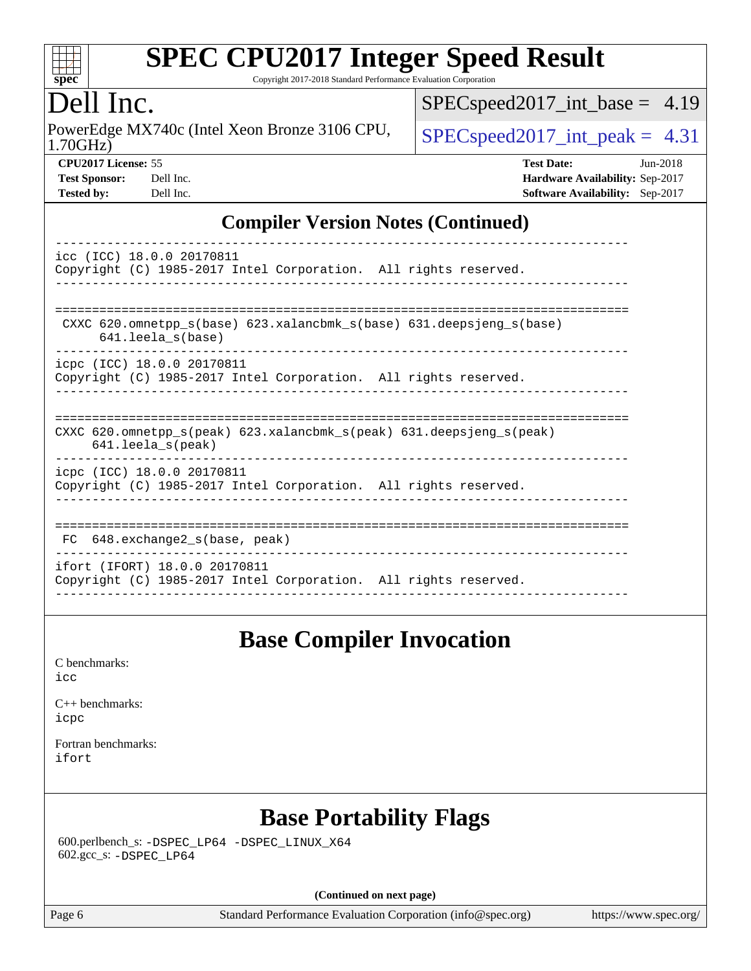

Copyright 2017-2018 Standard Performance Evaluation Corporation

#### ell Inc.

1.70GHz) PowerEdge MX740c (Intel Xeon Bronze 3106 CPU,  $SPEC speed2017\_int\_peak = 4.31$ 

[SPECspeed2017\\_int\\_base =](http://www.spec.org/auto/cpu2017/Docs/result-fields.html#SPECspeed2017intbase) 4.19

| <b>Test Sponsor:</b> | Dell Inc |
|----------------------|----------|
| Tested by:           | Dell Inc |

**[CPU2017 License:](http://www.spec.org/auto/cpu2017/Docs/result-fields.html#CPU2017License)** 55 **[Test Date:](http://www.spec.org/auto/cpu2017/Docs/result-fields.html#TestDate)** Jun-2018 **[Hardware Availability:](http://www.spec.org/auto/cpu2017/Docs/result-fields.html#HardwareAvailability)** Sep-2017 **[Software Availability:](http://www.spec.org/auto/cpu2017/Docs/result-fields.html#SoftwareAvailability)** Sep-2017

#### **[Compiler Version Notes \(Continued\)](http://www.spec.org/auto/cpu2017/Docs/result-fields.html#CompilerVersionNotes)**

| icc (ICC) 18.0.0 20170811<br>Copyright (C) 1985-2017 Intel Corporation. All rights reserved.                         |  |  |  |  |  |  |  |
|----------------------------------------------------------------------------------------------------------------------|--|--|--|--|--|--|--|
| CXXC 620.omnetpp $s(base)$ 623.xalancbmk $s(base)$ 631.deepsjeng $s(base)$<br>$641.$ leela $s$ (base)                |  |  |  |  |  |  |  |
| icpc (ICC) 18.0.0 20170811<br>Copyright (C) 1985-2017 Intel Corporation. All rights reserved.                        |  |  |  |  |  |  |  |
| CXXC 620.omnetpp $s(\text{peak})$ 623.xalancbmk $s(\text{peak})$ 631.deepsjeng $s(\text{peak})$<br>641.leela_s(peak) |  |  |  |  |  |  |  |
| icpc (ICC) 18.0.0 20170811<br>Copyright (C) 1985-2017 Intel Corporation. All rights reserved.                        |  |  |  |  |  |  |  |
| FC 648. exchange2 s(base, peak)                                                                                      |  |  |  |  |  |  |  |
| ifort (IFORT) 18.0.0 20170811<br>Copyright (C) 1985-2017 Intel Corporation. All rights reserved.                     |  |  |  |  |  |  |  |

#### **[Base Compiler Invocation](http://www.spec.org/auto/cpu2017/Docs/result-fields.html#BaseCompilerInvocation)**

[C benchmarks](http://www.spec.org/auto/cpu2017/Docs/result-fields.html#Cbenchmarks): [icc](http://www.spec.org/cpu2017/results/res2018q3/cpu2017-20180820-08593.flags.html#user_CCbase_intel_icc_18.0_66fc1ee009f7361af1fbd72ca7dcefbb700085f36577c54f309893dd4ec40d12360134090235512931783d35fd58c0460139e722d5067c5574d8eaf2b3e37e92)

[C++ benchmarks:](http://www.spec.org/auto/cpu2017/Docs/result-fields.html#CXXbenchmarks) [icpc](http://www.spec.org/cpu2017/results/res2018q3/cpu2017-20180820-08593.flags.html#user_CXXbase_intel_icpc_18.0_c510b6838c7f56d33e37e94d029a35b4a7bccf4766a728ee175e80a419847e808290a9b78be685c44ab727ea267ec2f070ec5dc83b407c0218cded6866a35d07)

[Fortran benchmarks](http://www.spec.org/auto/cpu2017/Docs/result-fields.html#Fortranbenchmarks): [ifort](http://www.spec.org/cpu2017/results/res2018q3/cpu2017-20180820-08593.flags.html#user_FCbase_intel_ifort_18.0_8111460550e3ca792625aed983ce982f94888b8b503583aa7ba2b8303487b4d8a21a13e7191a45c5fd58ff318f48f9492884d4413fa793fd88dd292cad7027ca)

## **[Base Portability Flags](http://www.spec.org/auto/cpu2017/Docs/result-fields.html#BasePortabilityFlags)**

 600.perlbench\_s: [-DSPEC\\_LP64](http://www.spec.org/cpu2017/results/res2018q3/cpu2017-20180820-08593.flags.html#b600.perlbench_s_basePORTABILITY_DSPEC_LP64) [-DSPEC\\_LINUX\\_X64](http://www.spec.org/cpu2017/results/res2018q3/cpu2017-20180820-08593.flags.html#b600.perlbench_s_baseCPORTABILITY_DSPEC_LINUX_X64) 602.gcc\_s: [-DSPEC\\_LP64](http://www.spec.org/cpu2017/results/res2018q3/cpu2017-20180820-08593.flags.html#suite_basePORTABILITY602_gcc_s_DSPEC_LP64)

**(Continued on next page)**

Page 6 Standard Performance Evaluation Corporation [\(info@spec.org\)](mailto:info@spec.org) <https://www.spec.org/>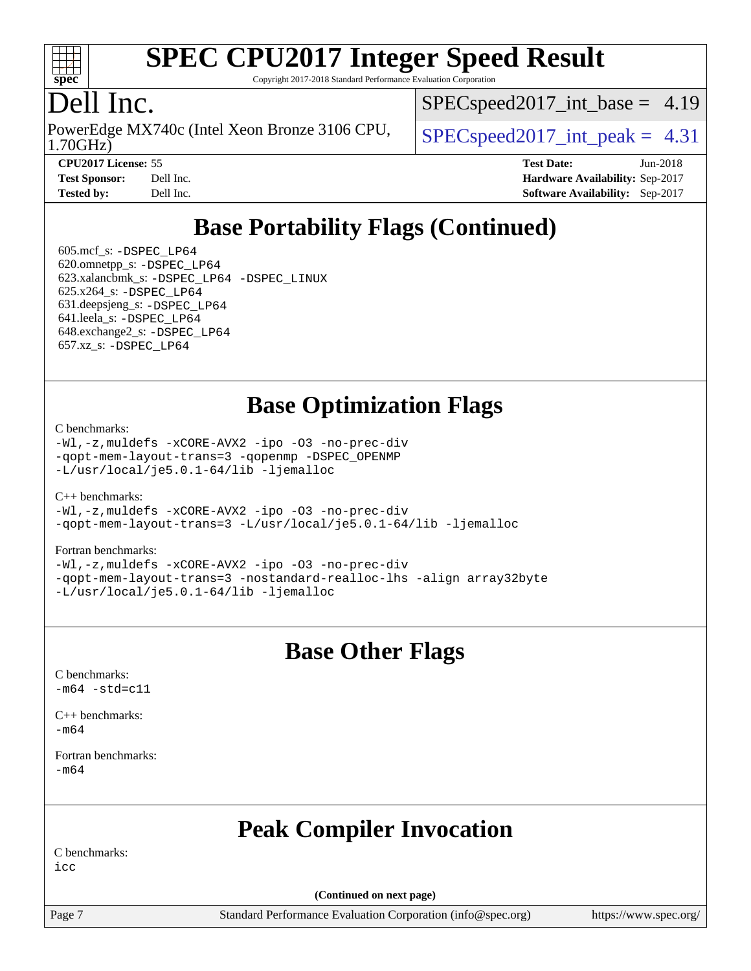

Copyright 2017-2018 Standard Performance Evaluation Corporation

### Dell Inc.

1.70GHz) PowerEdge MX740c (Intel Xeon Bronze 3106 CPU,  $\big|$  [SPECspeed2017\\_int\\_peak =](http://www.spec.org/auto/cpu2017/Docs/result-fields.html#SPECspeed2017intpeak) 4.31

 $SPECspeed2017\_int\_base = 4.19$ 

**[CPU2017 License:](http://www.spec.org/auto/cpu2017/Docs/result-fields.html#CPU2017License)** 55 **[Test Date:](http://www.spec.org/auto/cpu2017/Docs/result-fields.html#TestDate)** Jun-2018 **[Test Sponsor:](http://www.spec.org/auto/cpu2017/Docs/result-fields.html#TestSponsor)** Dell Inc. **[Hardware Availability:](http://www.spec.org/auto/cpu2017/Docs/result-fields.html#HardwareAvailability)** Sep-2017 **[Tested by:](http://www.spec.org/auto/cpu2017/Docs/result-fields.html#Testedby)** Dell Inc. **[Software Availability:](http://www.spec.org/auto/cpu2017/Docs/result-fields.html#SoftwareAvailability)** Sep-2017

## **[Base Portability Flags \(Continued\)](http://www.spec.org/auto/cpu2017/Docs/result-fields.html#BasePortabilityFlags)**

 605.mcf\_s: [-DSPEC\\_LP64](http://www.spec.org/cpu2017/results/res2018q3/cpu2017-20180820-08593.flags.html#suite_basePORTABILITY605_mcf_s_DSPEC_LP64) 620.omnetpp\_s: [-DSPEC\\_LP64](http://www.spec.org/cpu2017/results/res2018q3/cpu2017-20180820-08593.flags.html#suite_basePORTABILITY620_omnetpp_s_DSPEC_LP64) 623.xalancbmk\_s: [-DSPEC\\_LP64](http://www.spec.org/cpu2017/results/res2018q3/cpu2017-20180820-08593.flags.html#suite_basePORTABILITY623_xalancbmk_s_DSPEC_LP64) [-DSPEC\\_LINUX](http://www.spec.org/cpu2017/results/res2018q3/cpu2017-20180820-08593.flags.html#b623.xalancbmk_s_baseCXXPORTABILITY_DSPEC_LINUX) 625.x264\_s: [-DSPEC\\_LP64](http://www.spec.org/cpu2017/results/res2018q3/cpu2017-20180820-08593.flags.html#suite_basePORTABILITY625_x264_s_DSPEC_LP64) 631.deepsjeng\_s: [-DSPEC\\_LP64](http://www.spec.org/cpu2017/results/res2018q3/cpu2017-20180820-08593.flags.html#suite_basePORTABILITY631_deepsjeng_s_DSPEC_LP64) 641.leela\_s: [-DSPEC\\_LP64](http://www.spec.org/cpu2017/results/res2018q3/cpu2017-20180820-08593.flags.html#suite_basePORTABILITY641_leela_s_DSPEC_LP64) 648.exchange2\_s: [-DSPEC\\_LP64](http://www.spec.org/cpu2017/results/res2018q3/cpu2017-20180820-08593.flags.html#suite_basePORTABILITY648_exchange2_s_DSPEC_LP64) 657.xz\_s: [-DSPEC\\_LP64](http://www.spec.org/cpu2017/results/res2018q3/cpu2017-20180820-08593.flags.html#suite_basePORTABILITY657_xz_s_DSPEC_LP64)

#### **[Base Optimization Flags](http://www.spec.org/auto/cpu2017/Docs/result-fields.html#BaseOptimizationFlags)**

[C benchmarks](http://www.spec.org/auto/cpu2017/Docs/result-fields.html#Cbenchmarks):

[-Wl,-z,muldefs](http://www.spec.org/cpu2017/results/res2018q3/cpu2017-20180820-08593.flags.html#user_CCbase_link_force_multiple1_b4cbdb97b34bdee9ceefcfe54f4c8ea74255f0b02a4b23e853cdb0e18eb4525ac79b5a88067c842dd0ee6996c24547a27a4b99331201badda8798ef8a743f577) [-xCORE-AVX2](http://www.spec.org/cpu2017/results/res2018q3/cpu2017-20180820-08593.flags.html#user_CCbase_f-xCORE-AVX2) [-ipo](http://www.spec.org/cpu2017/results/res2018q3/cpu2017-20180820-08593.flags.html#user_CCbase_f-ipo) [-O3](http://www.spec.org/cpu2017/results/res2018q3/cpu2017-20180820-08593.flags.html#user_CCbase_f-O3) [-no-prec-div](http://www.spec.org/cpu2017/results/res2018q3/cpu2017-20180820-08593.flags.html#user_CCbase_f-no-prec-div) [-qopt-mem-layout-trans=3](http://www.spec.org/cpu2017/results/res2018q3/cpu2017-20180820-08593.flags.html#user_CCbase_f-qopt-mem-layout-trans_de80db37974c74b1f0e20d883f0b675c88c3b01e9d123adea9b28688d64333345fb62bc4a798493513fdb68f60282f9a726aa07f478b2f7113531aecce732043) [-qopenmp](http://www.spec.org/cpu2017/results/res2018q3/cpu2017-20180820-08593.flags.html#user_CCbase_qopenmp_16be0c44f24f464004c6784a7acb94aca937f053568ce72f94b139a11c7c168634a55f6653758ddd83bcf7b8463e8028bb0b48b77bcddc6b78d5d95bb1df2967) [-DSPEC\\_OPENMP](http://www.spec.org/cpu2017/results/res2018q3/cpu2017-20180820-08593.flags.html#suite_CCbase_DSPEC_OPENMP) [-L/usr/local/je5.0.1-64/lib](http://www.spec.org/cpu2017/results/res2018q3/cpu2017-20180820-08593.flags.html#user_CCbase_jemalloc_link_path64_4b10a636b7bce113509b17f3bd0d6226c5fb2346b9178c2d0232c14f04ab830f976640479e5c33dc2bcbbdad86ecfb6634cbbd4418746f06f368b512fced5394) [-ljemalloc](http://www.spec.org/cpu2017/results/res2018q3/cpu2017-20180820-08593.flags.html#user_CCbase_jemalloc_link_lib_d1249b907c500fa1c0672f44f562e3d0f79738ae9e3c4a9c376d49f265a04b9c99b167ecedbf6711b3085be911c67ff61f150a17b3472be731631ba4d0471706)

 $C_{++}$  benchmarks: [-Wl,-z,muldefs](http://www.spec.org/cpu2017/results/res2018q3/cpu2017-20180820-08593.flags.html#user_CXXbase_link_force_multiple1_b4cbdb97b34bdee9ceefcfe54f4c8ea74255f0b02a4b23e853cdb0e18eb4525ac79b5a88067c842dd0ee6996c24547a27a4b99331201badda8798ef8a743f577) [-xCORE-AVX2](http://www.spec.org/cpu2017/results/res2018q3/cpu2017-20180820-08593.flags.html#user_CXXbase_f-xCORE-AVX2) [-ipo](http://www.spec.org/cpu2017/results/res2018q3/cpu2017-20180820-08593.flags.html#user_CXXbase_f-ipo) [-O3](http://www.spec.org/cpu2017/results/res2018q3/cpu2017-20180820-08593.flags.html#user_CXXbase_f-O3) [-no-prec-div](http://www.spec.org/cpu2017/results/res2018q3/cpu2017-20180820-08593.flags.html#user_CXXbase_f-no-prec-div) [-qopt-mem-layout-trans=3](http://www.spec.org/cpu2017/results/res2018q3/cpu2017-20180820-08593.flags.html#user_CXXbase_f-qopt-mem-layout-trans_de80db37974c74b1f0e20d883f0b675c88c3b01e9d123adea9b28688d64333345fb62bc4a798493513fdb68f60282f9a726aa07f478b2f7113531aecce732043) [-L/usr/local/je5.0.1-64/lib](http://www.spec.org/cpu2017/results/res2018q3/cpu2017-20180820-08593.flags.html#user_CXXbase_jemalloc_link_path64_4b10a636b7bce113509b17f3bd0d6226c5fb2346b9178c2d0232c14f04ab830f976640479e5c33dc2bcbbdad86ecfb6634cbbd4418746f06f368b512fced5394) [-ljemalloc](http://www.spec.org/cpu2017/results/res2018q3/cpu2017-20180820-08593.flags.html#user_CXXbase_jemalloc_link_lib_d1249b907c500fa1c0672f44f562e3d0f79738ae9e3c4a9c376d49f265a04b9c99b167ecedbf6711b3085be911c67ff61f150a17b3472be731631ba4d0471706)

[Fortran benchmarks](http://www.spec.org/auto/cpu2017/Docs/result-fields.html#Fortranbenchmarks):

[-Wl,-z,muldefs](http://www.spec.org/cpu2017/results/res2018q3/cpu2017-20180820-08593.flags.html#user_FCbase_link_force_multiple1_b4cbdb97b34bdee9ceefcfe54f4c8ea74255f0b02a4b23e853cdb0e18eb4525ac79b5a88067c842dd0ee6996c24547a27a4b99331201badda8798ef8a743f577) [-xCORE-AVX2](http://www.spec.org/cpu2017/results/res2018q3/cpu2017-20180820-08593.flags.html#user_FCbase_f-xCORE-AVX2) [-ipo](http://www.spec.org/cpu2017/results/res2018q3/cpu2017-20180820-08593.flags.html#user_FCbase_f-ipo) [-O3](http://www.spec.org/cpu2017/results/res2018q3/cpu2017-20180820-08593.flags.html#user_FCbase_f-O3) [-no-prec-div](http://www.spec.org/cpu2017/results/res2018q3/cpu2017-20180820-08593.flags.html#user_FCbase_f-no-prec-div) [-qopt-mem-layout-trans=3](http://www.spec.org/cpu2017/results/res2018q3/cpu2017-20180820-08593.flags.html#user_FCbase_f-qopt-mem-layout-trans_de80db37974c74b1f0e20d883f0b675c88c3b01e9d123adea9b28688d64333345fb62bc4a798493513fdb68f60282f9a726aa07f478b2f7113531aecce732043) [-nostandard-realloc-lhs](http://www.spec.org/cpu2017/results/res2018q3/cpu2017-20180820-08593.flags.html#user_FCbase_f_2003_std_realloc_82b4557e90729c0f113870c07e44d33d6f5a304b4f63d4c15d2d0f1fab99f5daaed73bdb9275d9ae411527f28b936061aa8b9c8f2d63842963b95c9dd6426b8a) [-align array32byte](http://www.spec.org/cpu2017/results/res2018q3/cpu2017-20180820-08593.flags.html#user_FCbase_align_array32byte_b982fe038af199962ba9a80c053b8342c548c85b40b8e86eb3cc33dee0d7986a4af373ac2d51c3f7cf710a18d62fdce2948f201cd044323541f22fc0fffc51b6) [-L/usr/local/je5.0.1-64/lib](http://www.spec.org/cpu2017/results/res2018q3/cpu2017-20180820-08593.flags.html#user_FCbase_jemalloc_link_path64_4b10a636b7bce113509b17f3bd0d6226c5fb2346b9178c2d0232c14f04ab830f976640479e5c33dc2bcbbdad86ecfb6634cbbd4418746f06f368b512fced5394) [-ljemalloc](http://www.spec.org/cpu2017/results/res2018q3/cpu2017-20180820-08593.flags.html#user_FCbase_jemalloc_link_lib_d1249b907c500fa1c0672f44f562e3d0f79738ae9e3c4a9c376d49f265a04b9c99b167ecedbf6711b3085be911c67ff61f150a17b3472be731631ba4d0471706)

#### **[Base Other Flags](http://www.spec.org/auto/cpu2017/Docs/result-fields.html#BaseOtherFlags)**

[C benchmarks](http://www.spec.org/auto/cpu2017/Docs/result-fields.html#Cbenchmarks):  $-m64 - std= c11$  $-m64 - std= c11$ 

[C++ benchmarks:](http://www.spec.org/auto/cpu2017/Docs/result-fields.html#CXXbenchmarks) [-m64](http://www.spec.org/cpu2017/results/res2018q3/cpu2017-20180820-08593.flags.html#user_CXXbase_intel_intel64_18.0_af43caccfc8ded86e7699f2159af6efc7655f51387b94da716254467f3c01020a5059329e2569e4053f409e7c9202a7efc638f7a6d1ffb3f52dea4a3e31d82ab)

[Fortran benchmarks](http://www.spec.org/auto/cpu2017/Docs/result-fields.html#Fortranbenchmarks): [-m64](http://www.spec.org/cpu2017/results/res2018q3/cpu2017-20180820-08593.flags.html#user_FCbase_intel_intel64_18.0_af43caccfc8ded86e7699f2159af6efc7655f51387b94da716254467f3c01020a5059329e2569e4053f409e7c9202a7efc638f7a6d1ffb3f52dea4a3e31d82ab)

## **[Peak Compiler Invocation](http://www.spec.org/auto/cpu2017/Docs/result-fields.html#PeakCompilerInvocation)**

[C benchmarks:](http://www.spec.org/auto/cpu2017/Docs/result-fields.html#Cbenchmarks) [icc](http://www.spec.org/cpu2017/results/res2018q3/cpu2017-20180820-08593.flags.html#user_CCpeak_intel_icc_18.0_66fc1ee009f7361af1fbd72ca7dcefbb700085f36577c54f309893dd4ec40d12360134090235512931783d35fd58c0460139e722d5067c5574d8eaf2b3e37e92)

**(Continued on next page)**

Page 7 Standard Performance Evaluation Corporation [\(info@spec.org\)](mailto:info@spec.org) <https://www.spec.org/>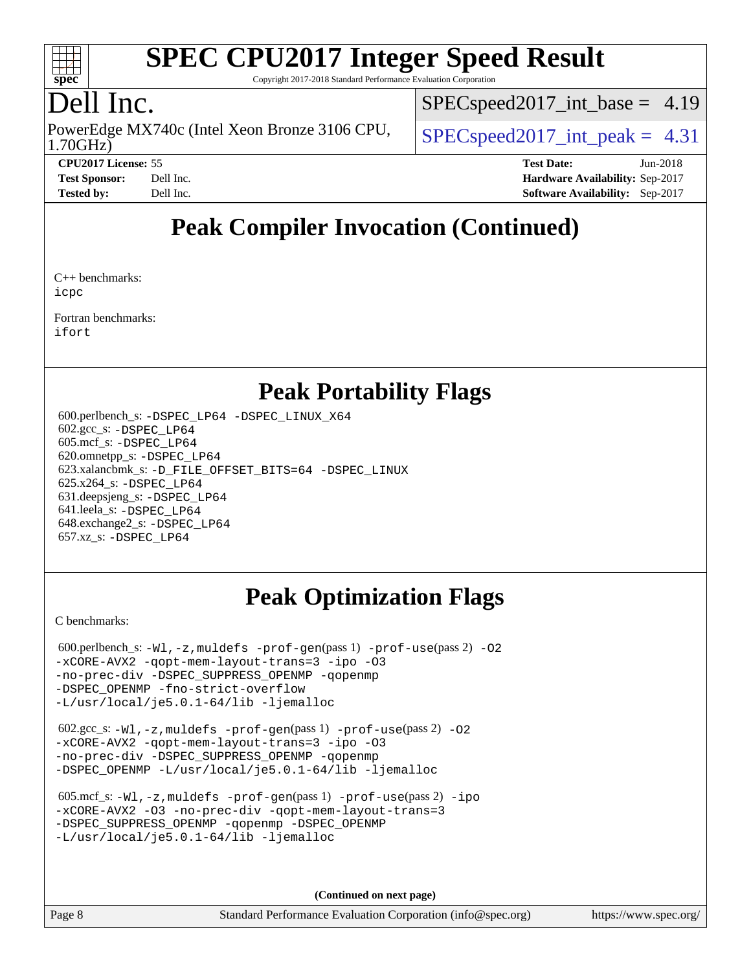

Copyright 2017-2018 Standard Performance Evaluation Corporation

### Dell Inc.

1.70GHz) PowerEdge MX740c (Intel Xeon Bronze 3106 CPU,  $\big|$  [SPECspeed2017\\_int\\_peak =](http://www.spec.org/auto/cpu2017/Docs/result-fields.html#SPECspeed2017intpeak) 4.31

 $SPECspeed2017\_int\_base = 4.19$ 

**[CPU2017 License:](http://www.spec.org/auto/cpu2017/Docs/result-fields.html#CPU2017License)** 55 **[Test Date:](http://www.spec.org/auto/cpu2017/Docs/result-fields.html#TestDate)** Jun-2018

**[Test Sponsor:](http://www.spec.org/auto/cpu2017/Docs/result-fields.html#TestSponsor)** Dell Inc. **[Hardware Availability:](http://www.spec.org/auto/cpu2017/Docs/result-fields.html#HardwareAvailability)** Sep-2017 **[Tested by:](http://www.spec.org/auto/cpu2017/Docs/result-fields.html#Testedby)** Dell Inc. **[Software Availability:](http://www.spec.org/auto/cpu2017/Docs/result-fields.html#SoftwareAvailability)** Sep-2017

## **[Peak Compiler Invocation \(Continued\)](http://www.spec.org/auto/cpu2017/Docs/result-fields.html#PeakCompilerInvocation)**

[C++ benchmarks:](http://www.spec.org/auto/cpu2017/Docs/result-fields.html#CXXbenchmarks) [icpc](http://www.spec.org/cpu2017/results/res2018q3/cpu2017-20180820-08593.flags.html#user_CXXpeak_intel_icpc_18.0_c510b6838c7f56d33e37e94d029a35b4a7bccf4766a728ee175e80a419847e808290a9b78be685c44ab727ea267ec2f070ec5dc83b407c0218cded6866a35d07)

[Fortran benchmarks](http://www.spec.org/auto/cpu2017/Docs/result-fields.html#Fortranbenchmarks): [ifort](http://www.spec.org/cpu2017/results/res2018q3/cpu2017-20180820-08593.flags.html#user_FCpeak_intel_ifort_18.0_8111460550e3ca792625aed983ce982f94888b8b503583aa7ba2b8303487b4d8a21a13e7191a45c5fd58ff318f48f9492884d4413fa793fd88dd292cad7027ca)

#### **[Peak Portability Flags](http://www.spec.org/auto/cpu2017/Docs/result-fields.html#PeakPortabilityFlags)**

 600.perlbench\_s: [-DSPEC\\_LP64](http://www.spec.org/cpu2017/results/res2018q3/cpu2017-20180820-08593.flags.html#b600.perlbench_s_peakPORTABILITY_DSPEC_LP64) [-DSPEC\\_LINUX\\_X64](http://www.spec.org/cpu2017/results/res2018q3/cpu2017-20180820-08593.flags.html#b600.perlbench_s_peakCPORTABILITY_DSPEC_LINUX_X64) 602.gcc\_s: [-DSPEC\\_LP64](http://www.spec.org/cpu2017/results/res2018q3/cpu2017-20180820-08593.flags.html#suite_peakPORTABILITY602_gcc_s_DSPEC_LP64) 605.mcf\_s: [-DSPEC\\_LP64](http://www.spec.org/cpu2017/results/res2018q3/cpu2017-20180820-08593.flags.html#suite_peakPORTABILITY605_mcf_s_DSPEC_LP64) 620.omnetpp\_s: [-DSPEC\\_LP64](http://www.spec.org/cpu2017/results/res2018q3/cpu2017-20180820-08593.flags.html#suite_peakPORTABILITY620_omnetpp_s_DSPEC_LP64) 623.xalancbmk\_s: [-D\\_FILE\\_OFFSET\\_BITS=64](http://www.spec.org/cpu2017/results/res2018q3/cpu2017-20180820-08593.flags.html#user_peakPORTABILITY623_xalancbmk_s_file_offset_bits_64_5ae949a99b284ddf4e95728d47cb0843d81b2eb0e18bdfe74bbf0f61d0b064f4bda2f10ea5eb90e1dcab0e84dbc592acfc5018bc955c18609f94ddb8d550002c) [-DSPEC\\_LINUX](http://www.spec.org/cpu2017/results/res2018q3/cpu2017-20180820-08593.flags.html#b623.xalancbmk_s_peakCXXPORTABILITY_DSPEC_LINUX) 625.x264\_s: [-DSPEC\\_LP64](http://www.spec.org/cpu2017/results/res2018q3/cpu2017-20180820-08593.flags.html#suite_peakPORTABILITY625_x264_s_DSPEC_LP64) 631.deepsjeng\_s: [-DSPEC\\_LP64](http://www.spec.org/cpu2017/results/res2018q3/cpu2017-20180820-08593.flags.html#suite_peakPORTABILITY631_deepsjeng_s_DSPEC_LP64) 641.leela\_s: [-DSPEC\\_LP64](http://www.spec.org/cpu2017/results/res2018q3/cpu2017-20180820-08593.flags.html#suite_peakPORTABILITY641_leela_s_DSPEC_LP64) 648.exchange2\_s: [-DSPEC\\_LP64](http://www.spec.org/cpu2017/results/res2018q3/cpu2017-20180820-08593.flags.html#suite_peakPORTABILITY648_exchange2_s_DSPEC_LP64) 657.xz\_s: [-DSPEC\\_LP64](http://www.spec.org/cpu2017/results/res2018q3/cpu2017-20180820-08593.flags.html#suite_peakPORTABILITY657_xz_s_DSPEC_LP64)

## **[Peak Optimization Flags](http://www.spec.org/auto/cpu2017/Docs/result-fields.html#PeakOptimizationFlags)**

[C benchmarks](http://www.spec.org/auto/cpu2017/Docs/result-fields.html#Cbenchmarks):

 $600.$ perlbench\_s:  $-W1$ ,  $-z$ , muldefs  $-prof-gen(pass 1)$  $-prof-gen(pass 1)$   $-prof-use(pass 2)$  $-prof-use(pass 2)$  [-O2](http://www.spec.org/cpu2017/results/res2018q3/cpu2017-20180820-08593.flags.html#user_peakPASS1_COPTIMIZE600_perlbench_s_f-O2) [-xCORE-AVX2](http://www.spec.org/cpu2017/results/res2018q3/cpu2017-20180820-08593.flags.html#user_peakPASS2_COPTIMIZE600_perlbench_s_f-xCORE-AVX2) [-qopt-mem-layout-trans=3](http://www.spec.org/cpu2017/results/res2018q3/cpu2017-20180820-08593.flags.html#user_peakPASS1_COPTIMIZEPASS2_COPTIMIZE600_perlbench_s_f-qopt-mem-layout-trans_de80db37974c74b1f0e20d883f0b675c88c3b01e9d123adea9b28688d64333345fb62bc4a798493513fdb68f60282f9a726aa07f478b2f7113531aecce732043) [-ipo](http://www.spec.org/cpu2017/results/res2018q3/cpu2017-20180820-08593.flags.html#user_peakPASS2_COPTIMIZE600_perlbench_s_f-ipo) [-O3](http://www.spec.org/cpu2017/results/res2018q3/cpu2017-20180820-08593.flags.html#user_peakPASS2_COPTIMIZE600_perlbench_s_f-O3) [-no-prec-div](http://www.spec.org/cpu2017/results/res2018q3/cpu2017-20180820-08593.flags.html#user_peakPASS2_COPTIMIZE600_perlbench_s_f-no-prec-div) [-DSPEC\\_SUPPRESS\\_OPENMP](http://www.spec.org/cpu2017/results/res2018q3/cpu2017-20180820-08593.flags.html#suite_peakPASS1_COPTIMIZE600_perlbench_s_DSPEC_SUPPRESS_OPENMP) [-qopenmp](http://www.spec.org/cpu2017/results/res2018q3/cpu2017-20180820-08593.flags.html#user_peakPASS2_COPTIMIZE600_perlbench_s_qopenmp_16be0c44f24f464004c6784a7acb94aca937f053568ce72f94b139a11c7c168634a55f6653758ddd83bcf7b8463e8028bb0b48b77bcddc6b78d5d95bb1df2967) [-DSPEC\\_OPENMP](http://www.spec.org/cpu2017/results/res2018q3/cpu2017-20180820-08593.flags.html#suite_peakPASS2_COPTIMIZE600_perlbench_s_DSPEC_OPENMP) [-fno-strict-overflow](http://www.spec.org/cpu2017/results/res2018q3/cpu2017-20180820-08593.flags.html#user_peakEXTRA_OPTIMIZE600_perlbench_s_f-fno-strict-overflow) [-L/usr/local/je5.0.1-64/lib](http://www.spec.org/cpu2017/results/res2018q3/cpu2017-20180820-08593.flags.html#user_peakEXTRA_LIBS600_perlbench_s_jemalloc_link_path64_4b10a636b7bce113509b17f3bd0d6226c5fb2346b9178c2d0232c14f04ab830f976640479e5c33dc2bcbbdad86ecfb6634cbbd4418746f06f368b512fced5394) [-ljemalloc](http://www.spec.org/cpu2017/results/res2018q3/cpu2017-20180820-08593.flags.html#user_peakEXTRA_LIBS600_perlbench_s_jemalloc_link_lib_d1249b907c500fa1c0672f44f562e3d0f79738ae9e3c4a9c376d49f265a04b9c99b167ecedbf6711b3085be911c67ff61f150a17b3472be731631ba4d0471706)

 602.gcc\_s: [-Wl,-z,muldefs](http://www.spec.org/cpu2017/results/res2018q3/cpu2017-20180820-08593.flags.html#user_peakEXTRA_LDFLAGS602_gcc_s_link_force_multiple1_b4cbdb97b34bdee9ceefcfe54f4c8ea74255f0b02a4b23e853cdb0e18eb4525ac79b5a88067c842dd0ee6996c24547a27a4b99331201badda8798ef8a743f577) [-prof-gen](http://www.spec.org/cpu2017/results/res2018q3/cpu2017-20180820-08593.flags.html#user_peakPASS1_CFLAGSPASS1_LDFLAGS602_gcc_s_prof_gen_5aa4926d6013ddb2a31985c654b3eb18169fc0c6952a63635c234f711e6e63dd76e94ad52365559451ec499a2cdb89e4dc58ba4c67ef54ca681ffbe1461d6b36)(pass 1) [-prof-use](http://www.spec.org/cpu2017/results/res2018q3/cpu2017-20180820-08593.flags.html#user_peakPASS2_CFLAGSPASS2_LDFLAGS602_gcc_s_prof_use_1a21ceae95f36a2b53c25747139a6c16ca95bd9def2a207b4f0849963b97e94f5260e30a0c64f4bb623698870e679ca08317ef8150905d41bd88c6f78df73f19)(pass 2) [-O2](http://www.spec.org/cpu2017/results/res2018q3/cpu2017-20180820-08593.flags.html#user_peakPASS1_COPTIMIZE602_gcc_s_f-O2) [-xCORE-AVX2](http://www.spec.org/cpu2017/results/res2018q3/cpu2017-20180820-08593.flags.html#user_peakPASS2_COPTIMIZE602_gcc_s_f-xCORE-AVX2) [-qopt-mem-layout-trans=3](http://www.spec.org/cpu2017/results/res2018q3/cpu2017-20180820-08593.flags.html#user_peakPASS1_COPTIMIZEPASS2_COPTIMIZE602_gcc_s_f-qopt-mem-layout-trans_de80db37974c74b1f0e20d883f0b675c88c3b01e9d123adea9b28688d64333345fb62bc4a798493513fdb68f60282f9a726aa07f478b2f7113531aecce732043) [-ipo](http://www.spec.org/cpu2017/results/res2018q3/cpu2017-20180820-08593.flags.html#user_peakPASS2_COPTIMIZE602_gcc_s_f-ipo) [-O3](http://www.spec.org/cpu2017/results/res2018q3/cpu2017-20180820-08593.flags.html#user_peakPASS2_COPTIMIZE602_gcc_s_f-O3) [-no-prec-div](http://www.spec.org/cpu2017/results/res2018q3/cpu2017-20180820-08593.flags.html#user_peakPASS2_COPTIMIZE602_gcc_s_f-no-prec-div) [-DSPEC\\_SUPPRESS\\_OPENMP](http://www.spec.org/cpu2017/results/res2018q3/cpu2017-20180820-08593.flags.html#suite_peakPASS1_COPTIMIZE602_gcc_s_DSPEC_SUPPRESS_OPENMP) [-qopenmp](http://www.spec.org/cpu2017/results/res2018q3/cpu2017-20180820-08593.flags.html#user_peakPASS2_COPTIMIZE602_gcc_s_qopenmp_16be0c44f24f464004c6784a7acb94aca937f053568ce72f94b139a11c7c168634a55f6653758ddd83bcf7b8463e8028bb0b48b77bcddc6b78d5d95bb1df2967) [-DSPEC\\_OPENMP](http://www.spec.org/cpu2017/results/res2018q3/cpu2017-20180820-08593.flags.html#suite_peakPASS2_COPTIMIZE602_gcc_s_DSPEC_OPENMP) [-L/usr/local/je5.0.1-64/lib](http://www.spec.org/cpu2017/results/res2018q3/cpu2017-20180820-08593.flags.html#user_peakEXTRA_LIBS602_gcc_s_jemalloc_link_path64_4b10a636b7bce113509b17f3bd0d6226c5fb2346b9178c2d0232c14f04ab830f976640479e5c33dc2bcbbdad86ecfb6634cbbd4418746f06f368b512fced5394) [-ljemalloc](http://www.spec.org/cpu2017/results/res2018q3/cpu2017-20180820-08593.flags.html#user_peakEXTRA_LIBS602_gcc_s_jemalloc_link_lib_d1249b907c500fa1c0672f44f562e3d0f79738ae9e3c4a9c376d49f265a04b9c99b167ecedbf6711b3085be911c67ff61f150a17b3472be731631ba4d0471706)

 605.mcf\_s: [-Wl,-z,muldefs](http://www.spec.org/cpu2017/results/res2018q3/cpu2017-20180820-08593.flags.html#user_peakEXTRA_LDFLAGS605_mcf_s_link_force_multiple1_b4cbdb97b34bdee9ceefcfe54f4c8ea74255f0b02a4b23e853cdb0e18eb4525ac79b5a88067c842dd0ee6996c24547a27a4b99331201badda8798ef8a743f577) [-prof-gen](http://www.spec.org/cpu2017/results/res2018q3/cpu2017-20180820-08593.flags.html#user_peakPASS1_CFLAGSPASS1_LDFLAGS605_mcf_s_prof_gen_5aa4926d6013ddb2a31985c654b3eb18169fc0c6952a63635c234f711e6e63dd76e94ad52365559451ec499a2cdb89e4dc58ba4c67ef54ca681ffbe1461d6b36)(pass 1) [-prof-use](http://www.spec.org/cpu2017/results/res2018q3/cpu2017-20180820-08593.flags.html#user_peakPASS2_CFLAGSPASS2_LDFLAGS605_mcf_s_prof_use_1a21ceae95f36a2b53c25747139a6c16ca95bd9def2a207b4f0849963b97e94f5260e30a0c64f4bb623698870e679ca08317ef8150905d41bd88c6f78df73f19)(pass 2) [-ipo](http://www.spec.org/cpu2017/results/res2018q3/cpu2017-20180820-08593.flags.html#user_peakPASS1_COPTIMIZEPASS2_COPTIMIZE605_mcf_s_f-ipo) [-xCORE-AVX2](http://www.spec.org/cpu2017/results/res2018q3/cpu2017-20180820-08593.flags.html#user_peakPASS2_COPTIMIZE605_mcf_s_f-xCORE-AVX2) [-O3](http://www.spec.org/cpu2017/results/res2018q3/cpu2017-20180820-08593.flags.html#user_peakPASS1_COPTIMIZEPASS2_COPTIMIZE605_mcf_s_f-O3) [-no-prec-div](http://www.spec.org/cpu2017/results/res2018q3/cpu2017-20180820-08593.flags.html#user_peakPASS1_COPTIMIZEPASS2_COPTIMIZE605_mcf_s_f-no-prec-div) [-qopt-mem-layout-trans=3](http://www.spec.org/cpu2017/results/res2018q3/cpu2017-20180820-08593.flags.html#user_peakPASS1_COPTIMIZEPASS2_COPTIMIZE605_mcf_s_f-qopt-mem-layout-trans_de80db37974c74b1f0e20d883f0b675c88c3b01e9d123adea9b28688d64333345fb62bc4a798493513fdb68f60282f9a726aa07f478b2f7113531aecce732043) [-DSPEC\\_SUPPRESS\\_OPENMP](http://www.spec.org/cpu2017/results/res2018q3/cpu2017-20180820-08593.flags.html#suite_peakPASS1_COPTIMIZE605_mcf_s_DSPEC_SUPPRESS_OPENMP) [-qopenmp](http://www.spec.org/cpu2017/results/res2018q3/cpu2017-20180820-08593.flags.html#user_peakPASS2_COPTIMIZE605_mcf_s_qopenmp_16be0c44f24f464004c6784a7acb94aca937f053568ce72f94b139a11c7c168634a55f6653758ddd83bcf7b8463e8028bb0b48b77bcddc6b78d5d95bb1df2967) [-DSPEC\\_OPENMP](http://www.spec.org/cpu2017/results/res2018q3/cpu2017-20180820-08593.flags.html#suite_peakPASS2_COPTIMIZE605_mcf_s_DSPEC_OPENMP) [-L/usr/local/je5.0.1-64/lib](http://www.spec.org/cpu2017/results/res2018q3/cpu2017-20180820-08593.flags.html#user_peakEXTRA_LIBS605_mcf_s_jemalloc_link_path64_4b10a636b7bce113509b17f3bd0d6226c5fb2346b9178c2d0232c14f04ab830f976640479e5c33dc2bcbbdad86ecfb6634cbbd4418746f06f368b512fced5394) [-ljemalloc](http://www.spec.org/cpu2017/results/res2018q3/cpu2017-20180820-08593.flags.html#user_peakEXTRA_LIBS605_mcf_s_jemalloc_link_lib_d1249b907c500fa1c0672f44f562e3d0f79738ae9e3c4a9c376d49f265a04b9c99b167ecedbf6711b3085be911c67ff61f150a17b3472be731631ba4d0471706)

**(Continued on next page)**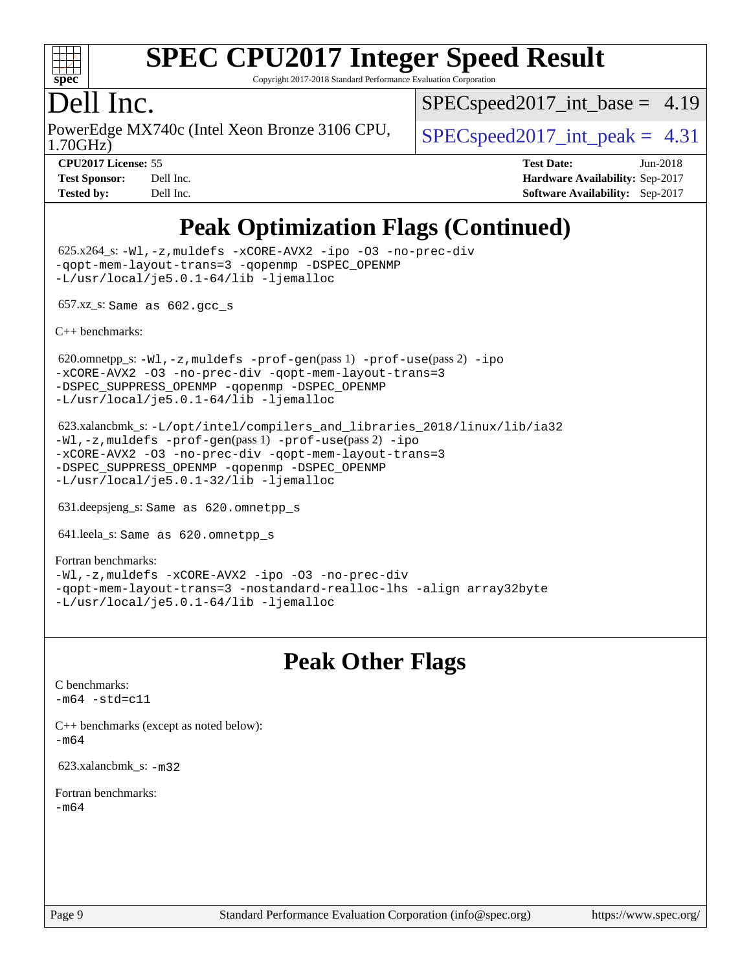

Copyright 2017-2018 Standard Performance Evaluation Corporation

#### Dell Inc.

1.70GHz) PowerEdge MX740c (Intel Xeon Bronze 3106 CPU,  $\big|$  [SPECspeed2017\\_int\\_peak =](http://www.spec.org/auto/cpu2017/Docs/result-fields.html#SPECspeed2017intpeak) 4.31

 $SPECspeed2017\_int\_base = 4.19$ 

**[CPU2017 License:](http://www.spec.org/auto/cpu2017/Docs/result-fields.html#CPU2017License)** 55 **[Test Date:](http://www.spec.org/auto/cpu2017/Docs/result-fields.html#TestDate)** Jun-2018 **[Test Sponsor:](http://www.spec.org/auto/cpu2017/Docs/result-fields.html#TestSponsor)** Dell Inc. **[Hardware Availability:](http://www.spec.org/auto/cpu2017/Docs/result-fields.html#HardwareAvailability)** Sep-2017 **[Tested by:](http://www.spec.org/auto/cpu2017/Docs/result-fields.html#Testedby)** Dell Inc. **[Software Availability:](http://www.spec.org/auto/cpu2017/Docs/result-fields.html#SoftwareAvailability)** Sep-2017

## **[Peak Optimization Flags \(Continued\)](http://www.spec.org/auto/cpu2017/Docs/result-fields.html#PeakOptimizationFlags)**

 625.x264\_s: [-Wl,-z,muldefs](http://www.spec.org/cpu2017/results/res2018q3/cpu2017-20180820-08593.flags.html#user_peakEXTRA_LDFLAGS625_x264_s_link_force_multiple1_b4cbdb97b34bdee9ceefcfe54f4c8ea74255f0b02a4b23e853cdb0e18eb4525ac79b5a88067c842dd0ee6996c24547a27a4b99331201badda8798ef8a743f577) [-xCORE-AVX2](http://www.spec.org/cpu2017/results/res2018q3/cpu2017-20180820-08593.flags.html#user_peakCOPTIMIZE625_x264_s_f-xCORE-AVX2) [-ipo](http://www.spec.org/cpu2017/results/res2018q3/cpu2017-20180820-08593.flags.html#user_peakCOPTIMIZE625_x264_s_f-ipo) [-O3](http://www.spec.org/cpu2017/results/res2018q3/cpu2017-20180820-08593.flags.html#user_peakCOPTIMIZE625_x264_s_f-O3) [-no-prec-div](http://www.spec.org/cpu2017/results/res2018q3/cpu2017-20180820-08593.flags.html#user_peakCOPTIMIZE625_x264_s_f-no-prec-div) [-qopt-mem-layout-trans=3](http://www.spec.org/cpu2017/results/res2018q3/cpu2017-20180820-08593.flags.html#user_peakCOPTIMIZE625_x264_s_f-qopt-mem-layout-trans_de80db37974c74b1f0e20d883f0b675c88c3b01e9d123adea9b28688d64333345fb62bc4a798493513fdb68f60282f9a726aa07f478b2f7113531aecce732043) [-qopenmp](http://www.spec.org/cpu2017/results/res2018q3/cpu2017-20180820-08593.flags.html#user_peakCOPTIMIZE625_x264_s_qopenmp_16be0c44f24f464004c6784a7acb94aca937f053568ce72f94b139a11c7c168634a55f6653758ddd83bcf7b8463e8028bb0b48b77bcddc6b78d5d95bb1df2967) [-DSPEC\\_OPENMP](http://www.spec.org/cpu2017/results/res2018q3/cpu2017-20180820-08593.flags.html#suite_peakCOPTIMIZE625_x264_s_DSPEC_OPENMP) [-L/usr/local/je5.0.1-64/lib](http://www.spec.org/cpu2017/results/res2018q3/cpu2017-20180820-08593.flags.html#user_peakEXTRA_LIBS625_x264_s_jemalloc_link_path64_4b10a636b7bce113509b17f3bd0d6226c5fb2346b9178c2d0232c14f04ab830f976640479e5c33dc2bcbbdad86ecfb6634cbbd4418746f06f368b512fced5394) [-ljemalloc](http://www.spec.org/cpu2017/results/res2018q3/cpu2017-20180820-08593.flags.html#user_peakEXTRA_LIBS625_x264_s_jemalloc_link_lib_d1249b907c500fa1c0672f44f562e3d0f79738ae9e3c4a9c376d49f265a04b9c99b167ecedbf6711b3085be911c67ff61f150a17b3472be731631ba4d0471706)

657.xz\_s: Same as 602.gcc\_s

[C++ benchmarks:](http://www.spec.org/auto/cpu2017/Docs/result-fields.html#CXXbenchmarks)

620.omnetpp\_s: $-W1$ ,-z,muldefs -prof-qen(pass 1) [-prof-use](http://www.spec.org/cpu2017/results/res2018q3/cpu2017-20180820-08593.flags.html#user_peakPASS2_CXXFLAGSPASS2_LDFLAGS620_omnetpp_s_prof_use_1a21ceae95f36a2b53c25747139a6c16ca95bd9def2a207b4f0849963b97e94f5260e30a0c64f4bb623698870e679ca08317ef8150905d41bd88c6f78df73f19)(pass 2) [-ipo](http://www.spec.org/cpu2017/results/res2018q3/cpu2017-20180820-08593.flags.html#user_peakPASS1_CXXOPTIMIZEPASS2_CXXOPTIMIZE620_omnetpp_s_f-ipo) [-xCORE-AVX2](http://www.spec.org/cpu2017/results/res2018q3/cpu2017-20180820-08593.flags.html#user_peakPASS2_CXXOPTIMIZE620_omnetpp_s_f-xCORE-AVX2) [-O3](http://www.spec.org/cpu2017/results/res2018q3/cpu2017-20180820-08593.flags.html#user_peakPASS1_CXXOPTIMIZEPASS2_CXXOPTIMIZE620_omnetpp_s_f-O3) [-no-prec-div](http://www.spec.org/cpu2017/results/res2018q3/cpu2017-20180820-08593.flags.html#user_peakPASS1_CXXOPTIMIZEPASS2_CXXOPTIMIZE620_omnetpp_s_f-no-prec-div) [-qopt-mem-layout-trans=3](http://www.spec.org/cpu2017/results/res2018q3/cpu2017-20180820-08593.flags.html#user_peakPASS1_CXXOPTIMIZEPASS2_CXXOPTIMIZE620_omnetpp_s_f-qopt-mem-layout-trans_de80db37974c74b1f0e20d883f0b675c88c3b01e9d123adea9b28688d64333345fb62bc4a798493513fdb68f60282f9a726aa07f478b2f7113531aecce732043) [-DSPEC\\_SUPPRESS\\_OPENMP](http://www.spec.org/cpu2017/results/res2018q3/cpu2017-20180820-08593.flags.html#suite_peakPASS1_CXXOPTIMIZE620_omnetpp_s_DSPEC_SUPPRESS_OPENMP) [-qopenmp](http://www.spec.org/cpu2017/results/res2018q3/cpu2017-20180820-08593.flags.html#user_peakPASS2_CXXOPTIMIZE620_omnetpp_s_qopenmp_16be0c44f24f464004c6784a7acb94aca937f053568ce72f94b139a11c7c168634a55f6653758ddd83bcf7b8463e8028bb0b48b77bcddc6b78d5d95bb1df2967) [-DSPEC\\_OPENMP](http://www.spec.org/cpu2017/results/res2018q3/cpu2017-20180820-08593.flags.html#suite_peakPASS2_CXXOPTIMIZE620_omnetpp_s_DSPEC_OPENMP) [-L/usr/local/je5.0.1-64/lib](http://www.spec.org/cpu2017/results/res2018q3/cpu2017-20180820-08593.flags.html#user_peakEXTRA_LIBS620_omnetpp_s_jemalloc_link_path64_4b10a636b7bce113509b17f3bd0d6226c5fb2346b9178c2d0232c14f04ab830f976640479e5c33dc2bcbbdad86ecfb6634cbbd4418746f06f368b512fced5394) [-ljemalloc](http://www.spec.org/cpu2017/results/res2018q3/cpu2017-20180820-08593.flags.html#user_peakEXTRA_LIBS620_omnetpp_s_jemalloc_link_lib_d1249b907c500fa1c0672f44f562e3d0f79738ae9e3c4a9c376d49f265a04b9c99b167ecedbf6711b3085be911c67ff61f150a17b3472be731631ba4d0471706)

 623.xalancbmk\_s: [-L/opt/intel/compilers\\_and\\_libraries\\_2018/linux/lib/ia32](http://www.spec.org/cpu2017/results/res2018q3/cpu2017-20180820-08593.flags.html#user_peakCXXLD623_xalancbmk_s_Enable-32bit-runtime_af243bdb1d79e4c7a4f720bf8275e627de2ecd461de63307bc14cef0633fde3cd7bb2facb32dcc8be9566045fb55d40ce2b72b725f73827aa7833441b71b9343) [-Wl,-z,muldefs](http://www.spec.org/cpu2017/results/res2018q3/cpu2017-20180820-08593.flags.html#user_peakEXTRA_LDFLAGS623_xalancbmk_s_link_force_multiple1_b4cbdb97b34bdee9ceefcfe54f4c8ea74255f0b02a4b23e853cdb0e18eb4525ac79b5a88067c842dd0ee6996c24547a27a4b99331201badda8798ef8a743f577) [-prof-gen](http://www.spec.org/cpu2017/results/res2018q3/cpu2017-20180820-08593.flags.html#user_peakPASS1_CXXFLAGSPASS1_LDFLAGS623_xalancbmk_s_prof_gen_5aa4926d6013ddb2a31985c654b3eb18169fc0c6952a63635c234f711e6e63dd76e94ad52365559451ec499a2cdb89e4dc58ba4c67ef54ca681ffbe1461d6b36)(pass 1) [-prof-use](http://www.spec.org/cpu2017/results/res2018q3/cpu2017-20180820-08593.flags.html#user_peakPASS2_CXXFLAGSPASS2_LDFLAGS623_xalancbmk_s_prof_use_1a21ceae95f36a2b53c25747139a6c16ca95bd9def2a207b4f0849963b97e94f5260e30a0c64f4bb623698870e679ca08317ef8150905d41bd88c6f78df73f19)(pass 2) [-ipo](http://www.spec.org/cpu2017/results/res2018q3/cpu2017-20180820-08593.flags.html#user_peakPASS1_CXXOPTIMIZEPASS2_CXXOPTIMIZE623_xalancbmk_s_f-ipo) [-xCORE-AVX2](http://www.spec.org/cpu2017/results/res2018q3/cpu2017-20180820-08593.flags.html#user_peakPASS2_CXXOPTIMIZE623_xalancbmk_s_f-xCORE-AVX2) [-O3](http://www.spec.org/cpu2017/results/res2018q3/cpu2017-20180820-08593.flags.html#user_peakPASS1_CXXOPTIMIZEPASS2_CXXOPTIMIZE623_xalancbmk_s_f-O3) [-no-prec-div](http://www.spec.org/cpu2017/results/res2018q3/cpu2017-20180820-08593.flags.html#user_peakPASS1_CXXOPTIMIZEPASS2_CXXOPTIMIZE623_xalancbmk_s_f-no-prec-div) [-qopt-mem-layout-trans=3](http://www.spec.org/cpu2017/results/res2018q3/cpu2017-20180820-08593.flags.html#user_peakPASS1_CXXOPTIMIZEPASS2_CXXOPTIMIZE623_xalancbmk_s_f-qopt-mem-layout-trans_de80db37974c74b1f0e20d883f0b675c88c3b01e9d123adea9b28688d64333345fb62bc4a798493513fdb68f60282f9a726aa07f478b2f7113531aecce732043) [-DSPEC\\_SUPPRESS\\_OPENMP](http://www.spec.org/cpu2017/results/res2018q3/cpu2017-20180820-08593.flags.html#suite_peakPASS1_CXXOPTIMIZE623_xalancbmk_s_DSPEC_SUPPRESS_OPENMP) [-qopenmp](http://www.spec.org/cpu2017/results/res2018q3/cpu2017-20180820-08593.flags.html#user_peakPASS2_CXXOPTIMIZE623_xalancbmk_s_qopenmp_16be0c44f24f464004c6784a7acb94aca937f053568ce72f94b139a11c7c168634a55f6653758ddd83bcf7b8463e8028bb0b48b77bcddc6b78d5d95bb1df2967) [-DSPEC\\_OPENMP](http://www.spec.org/cpu2017/results/res2018q3/cpu2017-20180820-08593.flags.html#suite_peakPASS2_CXXOPTIMIZE623_xalancbmk_s_DSPEC_OPENMP) [-L/usr/local/je5.0.1-32/lib](http://www.spec.org/cpu2017/results/res2018q3/cpu2017-20180820-08593.flags.html#user_peakEXTRA_LIBS623_xalancbmk_s_jemalloc_link_path32_e29f22e8e6c17053bbc6a0971f5a9c01a601a06bb1a59df2084b77a2fe0a2995b64fd4256feaeea39eeba3aae142e96e2b2b0a28974019c0c0c88139a84f900a) [-ljemalloc](http://www.spec.org/cpu2017/results/res2018q3/cpu2017-20180820-08593.flags.html#user_peakEXTRA_LIBS623_xalancbmk_s_jemalloc_link_lib_d1249b907c500fa1c0672f44f562e3d0f79738ae9e3c4a9c376d49f265a04b9c99b167ecedbf6711b3085be911c67ff61f150a17b3472be731631ba4d0471706)

631.deepsjeng\_s: Same as 620.omnetpp\_s

641.leela\_s: Same as 620.omnetpp\_s

[Fortran benchmarks](http://www.spec.org/auto/cpu2017/Docs/result-fields.html#Fortranbenchmarks): [-Wl,-z,muldefs](http://www.spec.org/cpu2017/results/res2018q3/cpu2017-20180820-08593.flags.html#user_FCpeak_link_force_multiple1_b4cbdb97b34bdee9ceefcfe54f4c8ea74255f0b02a4b23e853cdb0e18eb4525ac79b5a88067c842dd0ee6996c24547a27a4b99331201badda8798ef8a743f577) [-xCORE-AVX2](http://www.spec.org/cpu2017/results/res2018q3/cpu2017-20180820-08593.flags.html#user_FCpeak_f-xCORE-AVX2) [-ipo](http://www.spec.org/cpu2017/results/res2018q3/cpu2017-20180820-08593.flags.html#user_FCpeak_f-ipo) [-O3](http://www.spec.org/cpu2017/results/res2018q3/cpu2017-20180820-08593.flags.html#user_FCpeak_f-O3) [-no-prec-div](http://www.spec.org/cpu2017/results/res2018q3/cpu2017-20180820-08593.flags.html#user_FCpeak_f-no-prec-div) [-qopt-mem-layout-trans=3](http://www.spec.org/cpu2017/results/res2018q3/cpu2017-20180820-08593.flags.html#user_FCpeak_f-qopt-mem-layout-trans_de80db37974c74b1f0e20d883f0b675c88c3b01e9d123adea9b28688d64333345fb62bc4a798493513fdb68f60282f9a726aa07f478b2f7113531aecce732043) [-nostandard-realloc-lhs](http://www.spec.org/cpu2017/results/res2018q3/cpu2017-20180820-08593.flags.html#user_FCpeak_f_2003_std_realloc_82b4557e90729c0f113870c07e44d33d6f5a304b4f63d4c15d2d0f1fab99f5daaed73bdb9275d9ae411527f28b936061aa8b9c8f2d63842963b95c9dd6426b8a) [-align array32byte](http://www.spec.org/cpu2017/results/res2018q3/cpu2017-20180820-08593.flags.html#user_FCpeak_align_array32byte_b982fe038af199962ba9a80c053b8342c548c85b40b8e86eb3cc33dee0d7986a4af373ac2d51c3f7cf710a18d62fdce2948f201cd044323541f22fc0fffc51b6) [-L/usr/local/je5.0.1-64/lib](http://www.spec.org/cpu2017/results/res2018q3/cpu2017-20180820-08593.flags.html#user_FCpeak_jemalloc_link_path64_4b10a636b7bce113509b17f3bd0d6226c5fb2346b9178c2d0232c14f04ab830f976640479e5c33dc2bcbbdad86ecfb6634cbbd4418746f06f368b512fced5394) [-ljemalloc](http://www.spec.org/cpu2017/results/res2018q3/cpu2017-20180820-08593.flags.html#user_FCpeak_jemalloc_link_lib_d1249b907c500fa1c0672f44f562e3d0f79738ae9e3c4a9c376d49f265a04b9c99b167ecedbf6711b3085be911c67ff61f150a17b3472be731631ba4d0471706)

#### **[Peak Other Flags](http://www.spec.org/auto/cpu2017/Docs/result-fields.html#PeakOtherFlags)**

[C benchmarks](http://www.spec.org/auto/cpu2017/Docs/result-fields.html#Cbenchmarks):  $-m64 - std= c11$  $-m64 - std= c11$ [C++ benchmarks \(except as noted below\):](http://www.spec.org/auto/cpu2017/Docs/result-fields.html#CXXbenchmarksexceptasnotedbelow)

[-m64](http://www.spec.org/cpu2017/results/res2018q3/cpu2017-20180820-08593.flags.html#user_CXXpeak_intel_intel64_18.0_af43caccfc8ded86e7699f2159af6efc7655f51387b94da716254467f3c01020a5059329e2569e4053f409e7c9202a7efc638f7a6d1ffb3f52dea4a3e31d82ab)

623.xalancbmk\_s: [-m32](http://www.spec.org/cpu2017/results/res2018q3/cpu2017-20180820-08593.flags.html#user_peakCXXLD623_xalancbmk_s_intel_ia32_18.0_2666f1173eb60787016b673bfe1358e27016ef7649ea4884b7bc6187fd89dc221d14632e22638cde1c647a518de97358ab15d4ad098ee4e19a8b28d0c25e14bf)

[Fortran benchmarks](http://www.spec.org/auto/cpu2017/Docs/result-fields.html#Fortranbenchmarks): [-m64](http://www.spec.org/cpu2017/results/res2018q3/cpu2017-20180820-08593.flags.html#user_FCpeak_intel_intel64_18.0_af43caccfc8ded86e7699f2159af6efc7655f51387b94da716254467f3c01020a5059329e2569e4053f409e7c9202a7efc638f7a6d1ffb3f52dea4a3e31d82ab)